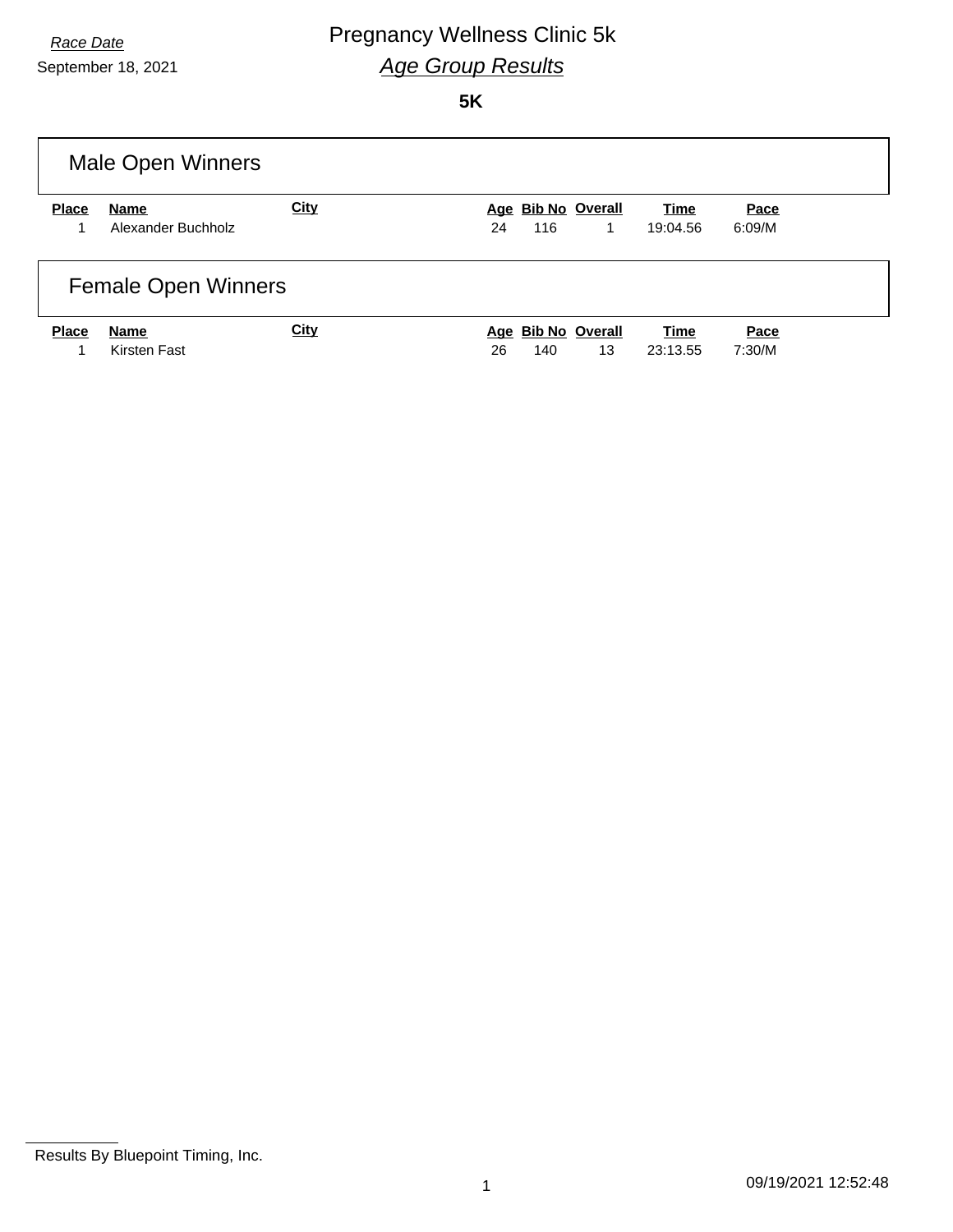# **Race Date Pregnancy Wellness Clinic 5k** *Age Group Results*

September 18, 2021

**5K**

|              | Male Open Winners          |             |    |     |                    |          |        |  |
|--------------|----------------------------|-------------|----|-----|--------------------|----------|--------|--|
| <b>Place</b> | Name                       | <b>City</b> |    |     | Age Bib No Overall | Time     | Pace   |  |
|              | Alexander Buchholz         |             | 24 | 116 | 1                  | 19:04.56 | 6:09/M |  |
|              | <b>Female Open Winners</b> |             |    |     |                    |          |        |  |
| <b>Place</b> | Name                       | <b>City</b> |    |     | Age Bib No Overall | Time     | Pace   |  |
|              | Kirsten Fast               |             | 26 | 140 | 13                 | 23:13.55 | 7:30/M |  |

Results By Bluepoint Timing, Inc.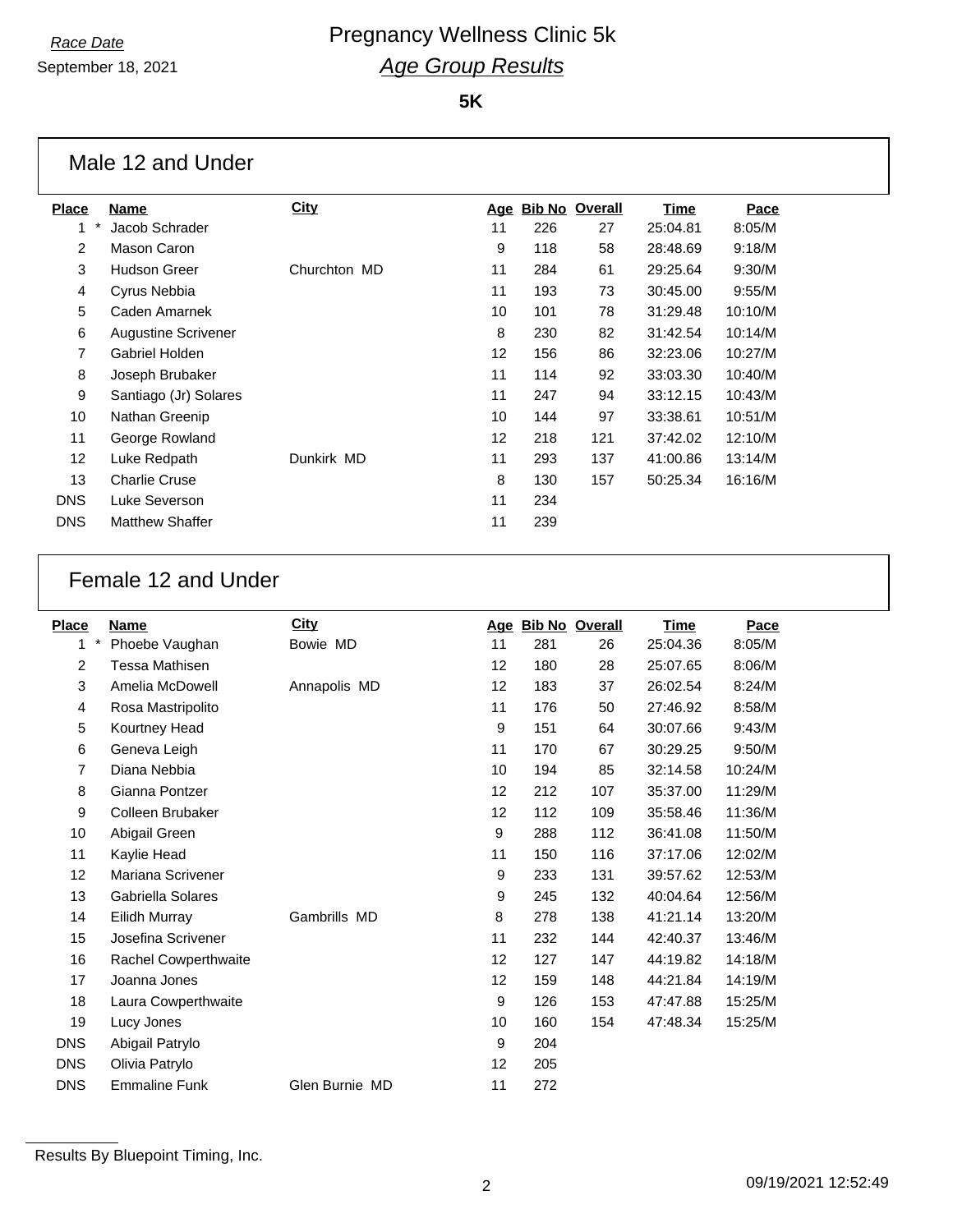September 18, 2021

|              | Male 12 and Under          |              |    |     |                    |             |         |
|--------------|----------------------------|--------------|----|-----|--------------------|-------------|---------|
| <b>Place</b> | Name                       | <b>City</b>  |    |     | Age Bib No Overall | <b>Time</b> | Pace    |
| 1            | Jacob Schrader             |              | 11 | 226 | 27                 | 25:04.81    | 8:05/M  |
| 2            | Mason Caron                |              | 9  | 118 | 58                 | 28:48.69    | 9:18/M  |
| 3            | <b>Hudson Greer</b>        | Churchton MD | 11 | 284 | 61                 | 29:25.64    | 9:30/M  |
| 4            | Cyrus Nebbia               |              | 11 | 193 | 73                 | 30:45.00    | 9:55/M  |
| 5            | Caden Amarnek              |              | 10 | 101 | 78                 | 31:29.48    | 10:10/M |
| 6            | <b>Augustine Scrivener</b> |              | 8  | 230 | 82                 | 31:42.54    | 10:14/M |
| 7            | Gabriel Holden             |              | 12 | 156 | 86                 | 32:23.06    | 10:27/M |
| 8            | Joseph Brubaker            |              | 11 | 114 | 92                 | 33:03.30    | 10:40/M |
| 9            | Santiago (Jr) Solares      |              | 11 | 247 | 94                 | 33:12.15    | 10:43/M |
| 10           | Nathan Greenip             |              | 10 | 144 | 97                 | 33:38.61    | 10:51/M |
| 11           | George Rowland             |              | 12 | 218 | 121                | 37:42.02    | 12:10/M |
| 12           | Luke Redpath               | Dunkirk MD   | 11 | 293 | 137                | 41:00.86    | 13:14/M |
| 13           | <b>Charlie Cruse</b>       |              | 8  | 130 | 157                | 50:25.34    | 16:16/M |
| <b>DNS</b>   | Luke Severson              |              | 11 | 234 |                    |             |         |
| <b>DNS</b>   | <b>Matthew Shaffer</b>     |              | 11 | 239 |                    |             |         |

## Female 12 and Under

| <b>Place</b>   | <b>Name</b>          | <b>City</b>    |    | Age Bib No Overall |     | Time     | Pace    |
|----------------|----------------------|----------------|----|--------------------|-----|----------|---------|
| $\star$<br>1   | Phoebe Vaughan       | Bowie MD       | 11 | 281                | 26  | 25:04.36 | 8:05/M  |
| $\overline{c}$ | Tessa Mathisen       |                | 12 | 180                | 28  | 25:07.65 | 8:06/M  |
| 3              | Amelia McDowell      | Annapolis MD   | 12 | 183                | 37  | 26:02.54 | 8:24/M  |
| 4              | Rosa Mastripolito    |                | 11 | 176                | 50  | 27:46.92 | 8:58/M  |
| 5              | Kourtney Head        |                | 9  | 151                | 64  | 30:07.66 | 9:43/M  |
| 6              | Geneva Leigh         |                | 11 | 170                | 67  | 30:29.25 | 9:50/M  |
| 7              | Diana Nebbia         |                | 10 | 194                | 85  | 32:14.58 | 10:24/M |
| 8              | Gianna Pontzer       |                | 12 | 212                | 107 | 35:37.00 | 11:29/M |
| 9              | Colleen Brubaker     |                | 12 | 112                | 109 | 35:58.46 | 11:36/M |
| 10             | Abigail Green        |                | 9  | 288                | 112 | 36:41.08 | 11:50/M |
| 11             | Kaylie Head          |                | 11 | 150                | 116 | 37:17.06 | 12:02/M |
| 12             | Mariana Scrivener    |                | 9  | 233                | 131 | 39:57.62 | 12:53/M |
| 13             | Gabriella Solares    |                | 9  | 245                | 132 | 40:04.64 | 12:56/M |
| 14             | Eilidh Murray        | Gambrills MD   | 8  | 278                | 138 | 41:21.14 | 13:20/M |
| 15             | Josefina Scrivener   |                | 11 | 232                | 144 | 42:40.37 | 13:46/M |
| 16             | Rachel Cowperthwaite |                | 12 | 127                | 147 | 44:19.82 | 14:18/M |
| 17             | Joanna Jones         |                | 12 | 159                | 148 | 44:21.84 | 14:19/M |
| 18             | Laura Cowperthwaite  |                | 9  | 126                | 153 | 47:47.88 | 15:25/M |
| 19             | Lucy Jones           |                | 10 | 160                | 154 | 47:48.34 | 15:25/M |
| <b>DNS</b>     | Abigail Patrylo      |                | 9  | 204                |     |          |         |
| <b>DNS</b>     | Olivia Patrylo       |                | 12 | 205                |     |          |         |
| <b>DNS</b>     | <b>Emmaline Funk</b> | Glen Burnie MD | 11 | 272                |     |          |         |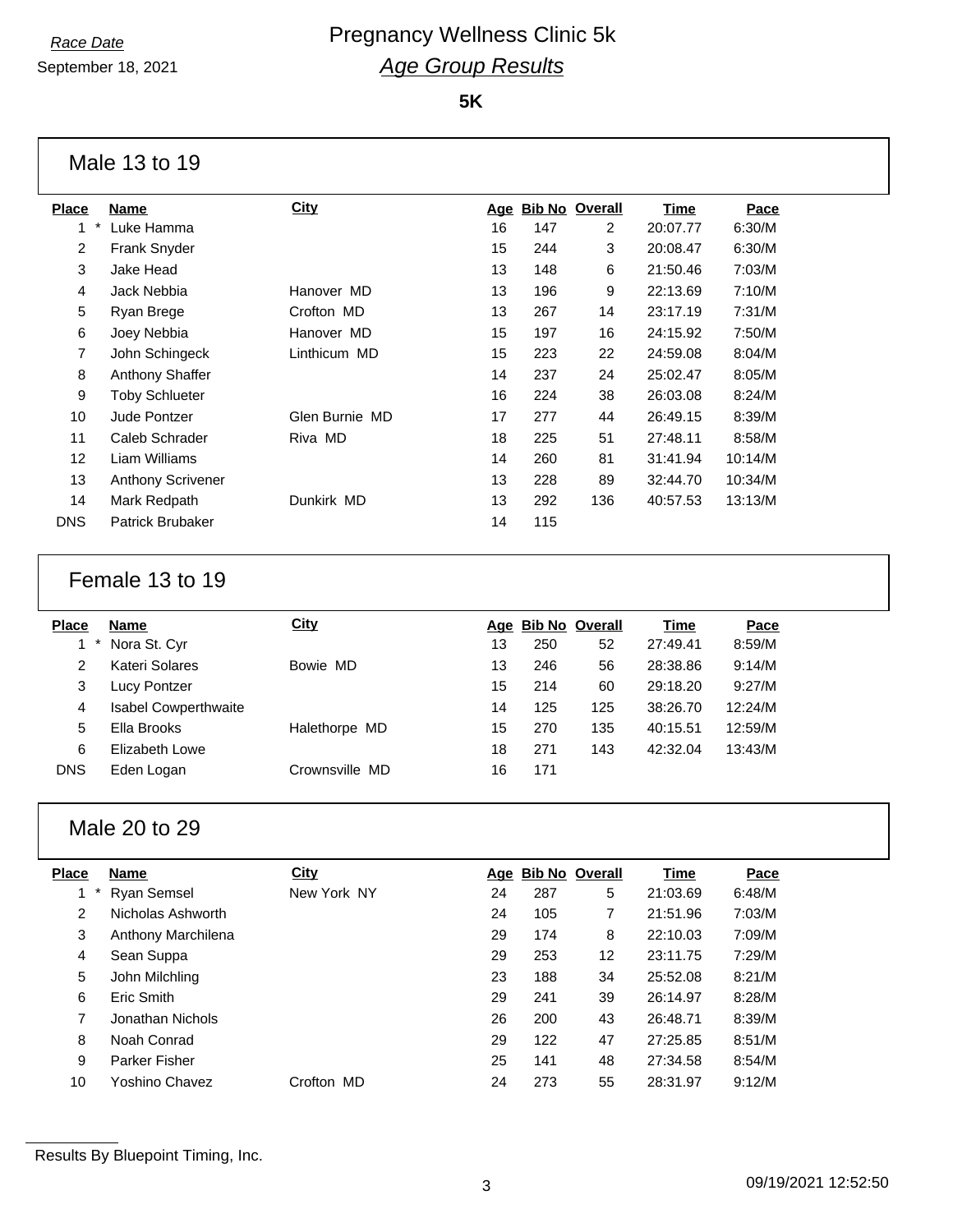September 18, 2021

**5K**

### Male 13 to 19

| <b>Place</b>   | <b>Name</b>              | <b>City</b>    | <u>Age</u> | <b>Bib No Overall</b> |     | Time     | Pace    |
|----------------|--------------------------|----------------|------------|-----------------------|-----|----------|---------|
| $\ast$<br>1    | Luke Hamma               |                | 16         | 147                   | 2   | 20:07.77 | 6:30/M  |
| 2              | <b>Frank Snyder</b>      |                | 15         | 244                   | 3   | 20:08.47 | 6:30/M  |
| 3              | Jake Head                |                | 13         | 148                   | 6   | 21:50.46 | 7:03/M  |
| $\overline{4}$ | Jack Nebbia              | Hanover MD     | 13         | 196                   | 9   | 22:13.69 | 7:10/M  |
| 5              | Ryan Brege               | Crofton MD     | 13         | 267                   | 14  | 23:17.19 | 7:31/M  |
| 6              | Joey Nebbia              | Hanover MD     | 15         | 197                   | 16  | 24:15.92 | 7:50/M  |
| 7              | John Schingeck           | Linthicum MD   | 15         | 223                   | 22  | 24:59.08 | 8:04/M  |
| 8              | <b>Anthony Shaffer</b>   |                | 14         | 237                   | 24  | 25:02.47 | 8:05/M  |
| 9              | <b>Toby Schlueter</b>    |                | 16         | 224                   | 38  | 26:03.08 | 8:24/M  |
| 10             | Jude Pontzer             | Glen Burnie MD | 17         | 277                   | 44  | 26:49.15 | 8:39/M  |
| 11             | Caleb Schrader           | Riva MD        | 18         | 225                   | 51  | 27:48.11 | 8:58/M  |
| 12             | Liam Williams            |                | 14         | 260                   | 81  | 31:41.94 | 10:14/M |
| 13             | <b>Anthony Scrivener</b> |                | 13         | 228                   | 89  | 32:44.70 | 10:34/M |
| 14             | Mark Redpath             | Dunkirk MD     | 13         | 292                   | 136 | 40:57.53 | 13:13/M |
| <b>DNS</b>     | <b>Patrick Brubaker</b>  |                | 14         | 115                   |     |          |         |
|                |                          |                |            |                       |     |          |         |

## Female 13 to 19

| <b>Place</b> | <b>Name</b>                 | <b>City</b>    |    | Age Bib No Overall |     | Time     | Pace    |
|--------------|-----------------------------|----------------|----|--------------------|-----|----------|---------|
|              | Nora St. Cyr                |                | 13 | 250                | 52  | 27:49.41 | 8:59/M  |
| 2            | Kateri Solares              | Bowie MD       | 13 | 246                | 56  | 28:38.86 | 9:14/M  |
| 3            | Lucy Pontzer                |                | 15 | 214                | 60  | 29:18.20 | 9:27/M  |
| 4            | <b>Isabel Cowperthwaite</b> |                | 14 | 125                | 125 | 38:26.70 | 12:24/M |
| 5            | Ella Brooks                 | Halethorpe MD  | 15 | 270                | 135 | 40:15.51 | 12:59/M |
| 6            | Elizabeth Lowe              |                | 18 | 271                | 143 | 42:32.04 | 13:43/M |
| <b>DNS</b>   | Eden Logan                  | Crownsville MD | 16 | 171                |     |          |         |

## Male 20 to 29

| Place | <b>Name</b>          | <b>City</b> |    | Age Bib No Overall |    | Time     | Pace   |
|-------|----------------------|-------------|----|--------------------|----|----------|--------|
|       | <b>Ryan Semsel</b>   | New York NY | 24 | 287                | 5  | 21:03.69 | 6:48/M |
| 2     | Nicholas Ashworth    |             | 24 | 105                | 7  | 21:51.96 | 7:03/M |
| 3     | Anthony Marchilena   |             | 29 | 174                | 8  | 22:10.03 | 7:09/M |
| 4     | Sean Suppa           |             | 29 | 253                | 12 | 23:11.75 | 7:29/M |
| 5     | John Milchling       |             | 23 | 188                | 34 | 25:52.08 | 8:21/M |
| 6     | Eric Smith           |             | 29 | 241                | 39 | 26:14.97 | 8:28/M |
| 7     | Jonathan Nichols     |             | 26 | 200                | 43 | 26:48.71 | 8:39/M |
| 8     | Noah Conrad          |             | 29 | 122                | 47 | 27:25.85 | 8:51/M |
| 9     | <b>Parker Fisher</b> |             | 25 | 141                | 48 | 27:34.58 | 8:54/M |
| 10    | Yoshino Chavez       | Crofton MD  | 24 | 273                | 55 | 28:31.97 | 9:12/M |
|       |                      |             |    |                    |    |          |        |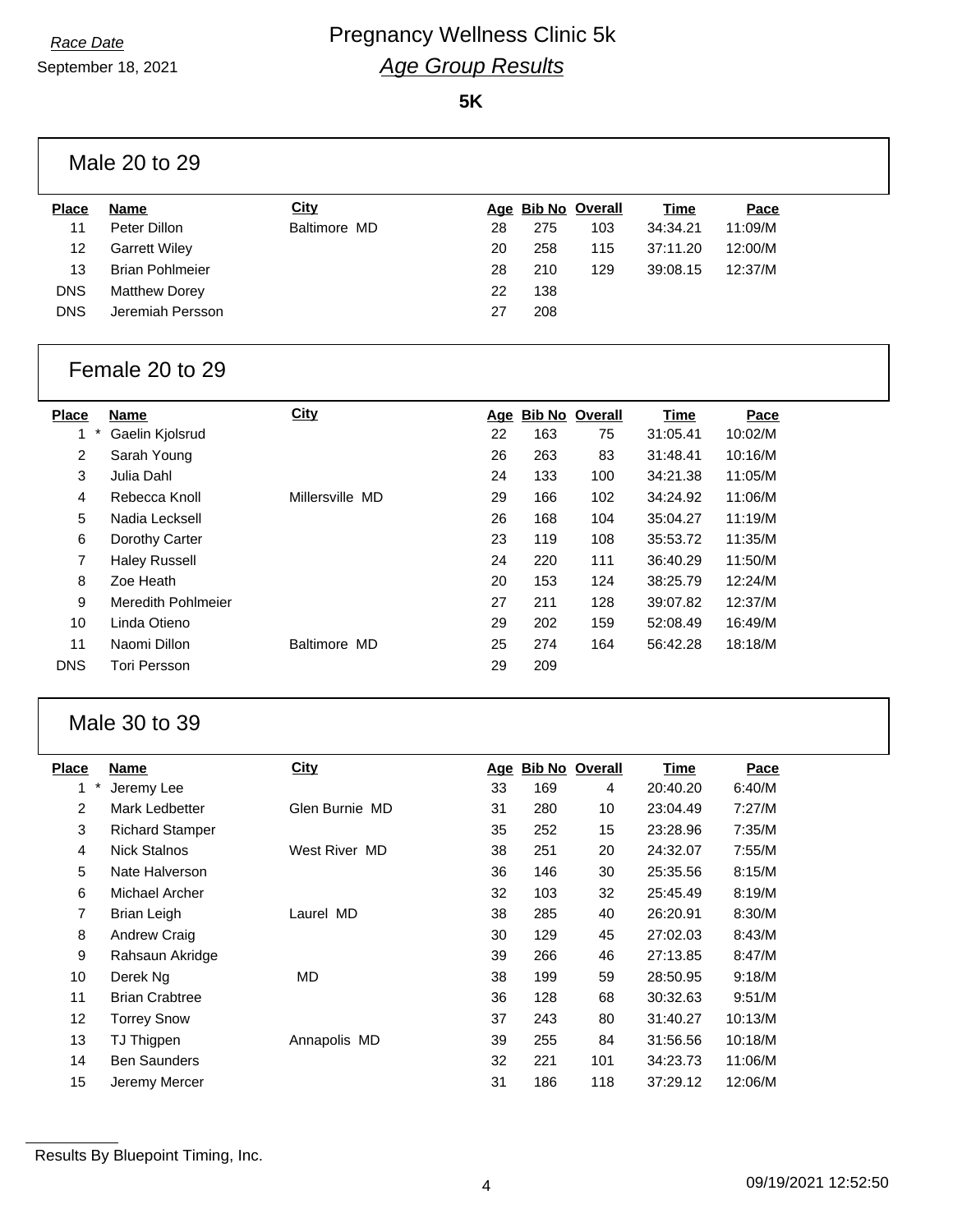September 18, 2021

**5K**

|                 | Male 20 to 29             |                 |     |     |                       |             |         |  |
|-----------------|---------------------------|-----------------|-----|-----|-----------------------|-------------|---------|--|
| <b>Place</b>    | Name                      | City            |     |     | Age Bib No Overall    | <u>Time</u> | Pace    |  |
| 11              | Peter Dillon              | Baltimore MD    | 28  | 275 | 103                   | 34:34.21    | 11:09/M |  |
| 12              | <b>Garrett Wiley</b>      |                 | 20  | 258 | 115                   | 37:11.20    | 12:00/M |  |
| 13              | <b>Brian Pohlmeier</b>    |                 | 28  | 210 | 129                   | 39:08.15    | 12:37/M |  |
| <b>DNS</b>      | <b>Matthew Dorey</b>      |                 | 22  | 138 |                       |             |         |  |
| <b>DNS</b>      | Jeremiah Persson          |                 | 27  | 208 |                       |             |         |  |
|                 | Female 20 to 29           |                 |     |     |                       |             |         |  |
|                 |                           |                 |     |     |                       |             |         |  |
| <b>Place</b>    | <b>Name</b>               | <b>City</b>     | Age |     | <b>Bib No Overall</b> | <b>Time</b> | Pace    |  |
| 1               | Gaelin Kjolsrud           |                 | 22  | 163 | 75                    | 31:05.41    | 10:02/M |  |
| $\overline{2}$  | Sarah Young               |                 | 26  | 263 | 83                    | 31:48.41    | 10:16/M |  |
| 3               | Julia Dahl                |                 | 24  | 133 | 100                   | 34:21.38    | 11:05/M |  |
| 4               | Rebecca Knoll             | Millersville MD | 29  | 166 | 102                   | 34:24.92    | 11:06/M |  |
| 5               | Nadia Lecksell            |                 | 26  | 168 | 104                   | 35:04.27    | 11:19/M |  |
| 6               | Dorothy Carter            |                 | 23  | 119 | 108                   | 35:53.72    | 11:35/M |  |
| $\overline{7}$  | <b>Haley Russell</b>      |                 | 24  | 220 | 111                   | 36:40.29    | 11:50/M |  |
| 8               | Zoe Heath                 |                 | 20  | 153 | 124                   | 38:25.79    | 12:24/M |  |
| 9               | <b>Meredith Pohlmeier</b> |                 | 27  | 211 | 128                   | 39:07.82    | 12:37/M |  |
| 10 <sup>1</sup> | Linda Otieno              |                 | 29  | 202 | 159                   | 52:08.49    | 16:49/M |  |
| 11              | Naomi Dillon              | Baltimore MD    | 25  | 274 | 164                   | 56:42.28    | 18:18/M |  |

### Male 30 to 39

| Place          | Name                   | <b>City</b>    | <u>Age</u> |     | <b>Bib No Overall</b> | Time     | Pace    |
|----------------|------------------------|----------------|------------|-----|-----------------------|----------|---------|
| $\ast$<br>1    | Jeremy Lee             |                | 33         | 169 | 4                     | 20:40.20 | 6:40/M  |
| $\overline{2}$ | Mark Ledbetter         | Glen Burnie MD | 31         | 280 | 10                    | 23:04.49 | 7:27/M  |
| 3              | <b>Richard Stamper</b> |                | 35         | 252 | 15                    | 23:28.96 | 7:35/M  |
| 4              | <b>Nick Stalnos</b>    | West River MD  | 38         | 251 | 20                    | 24:32.07 | 7:55/M  |
| 5              | Nate Halverson         |                | 36         | 146 | 30                    | 25:35.56 | 8:15/M  |
| 6              | Michael Archer         |                | 32         | 103 | 32                    | 25:45.49 | 8:19/M  |
| 7              | Brian Leigh            | Laurel MD      | 38         | 285 | 40                    | 26:20.91 | 8:30/M  |
| 8              | Andrew Craig           |                | 30         | 129 | 45                    | 27:02.03 | 8:43/M  |
| 9              | Rahsaun Akridge        |                | 39         | 266 | 46                    | 27:13.85 | 8:47/M  |
| 10             | Derek Ng               | MD.            | 38         | 199 | 59                    | 28:50.95 | 9:18/M  |
| 11             | <b>Brian Crabtree</b>  |                | 36         | 128 | 68                    | 30:32.63 | 9:51/M  |
| 12             | <b>Torrey Snow</b>     |                | 37         | 243 | 80                    | 31:40.27 | 10:13/M |
| 13             | TJ Thigpen             | Annapolis MD   | 39         | 255 | 84                    | 31:56.56 | 10:18/M |
| 14             | <b>Ben Saunders</b>    |                | 32         | 221 | 101                   | 34:23.73 | 11:06/M |
| 15             | Jeremy Mercer          |                | 31         | 186 | 118                   | 37:29.12 | 12:06/M |
|                |                        |                |            |     |                       |          |         |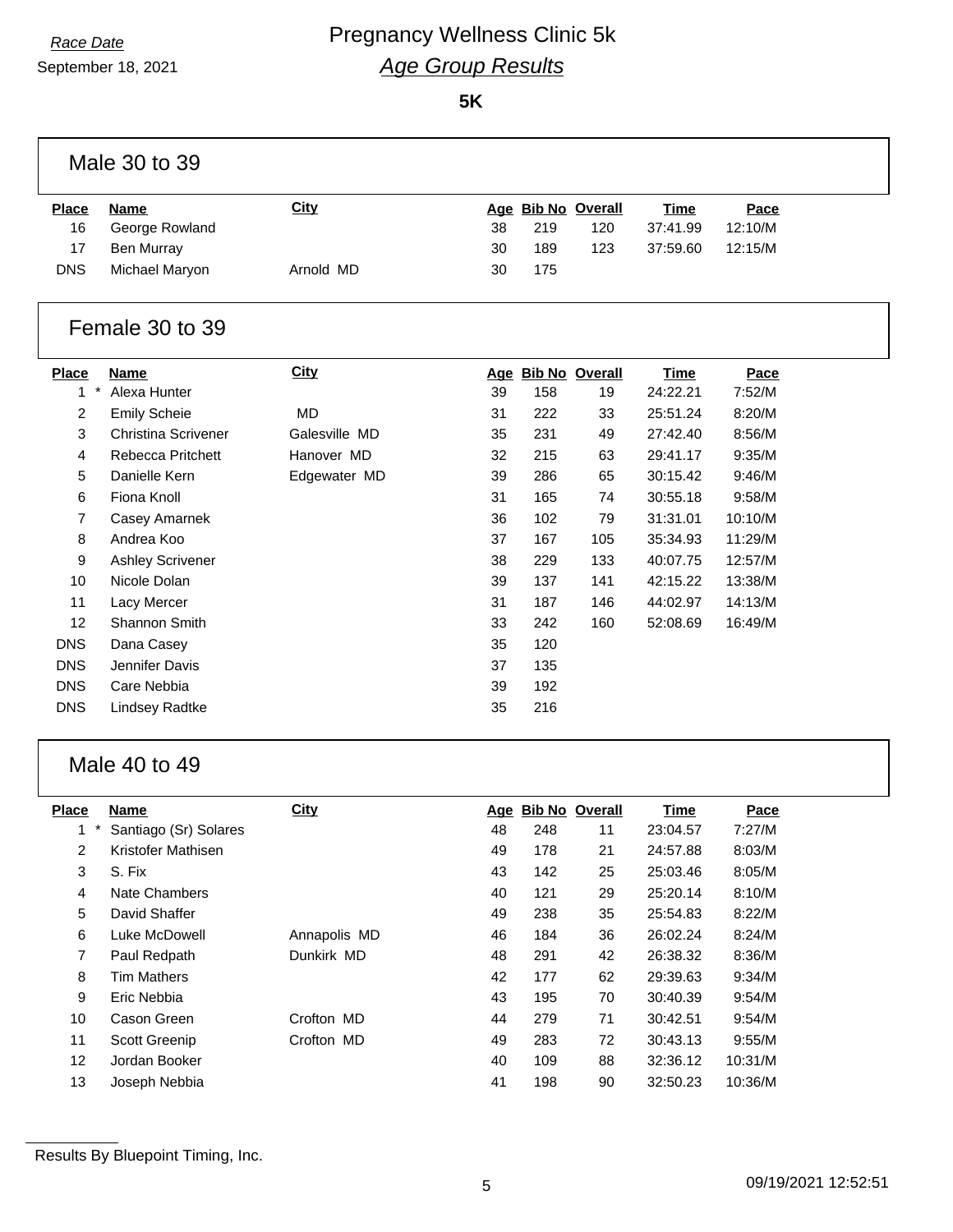September 18, 2021

# **Race Date Race Date Regnancy Wellness Clinic 5k** *Age Group Results*

**5K**

|                | Male 30 to 39              |               |    |                    |     |             |         |  |
|----------------|----------------------------|---------------|----|--------------------|-----|-------------|---------|--|
| <b>Place</b>   | <b>Name</b>                | City          |    | Age Bib No Overall |     | <b>Time</b> | Pace    |  |
| 16             | George Rowland             |               | 38 | 219                | 120 | 37:41.99    | 12:10/M |  |
| 17             | Ben Murray                 |               | 30 | 189                | 123 | 37:59.60    | 12:15/M |  |
| <b>DNS</b>     | Michael Maryon             | Arnold MD     | 30 | 175                |     |             |         |  |
|                | Female 30 to 39            |               |    |                    |     |             |         |  |
| <b>Place</b>   | <b>Name</b>                | <b>City</b>   |    | Age Bib No Overall |     | <b>Time</b> | Pace    |  |
| $\star$<br>1   | Alexa Hunter               |               | 39 | 158                | 19  | 24:22.21    | 7:52/M  |  |
| $\overline{2}$ | <b>Emily Scheie</b>        | <b>MD</b>     | 31 | 222                | 33  | 25:51.24    | 8:20/M  |  |
| 3              | <b>Christina Scrivener</b> | Galesville MD | 35 | 231                | 49  | 27:42.40    | 8:56/M  |  |
| $\overline{4}$ | Rebecca Pritchett          | Hanover MD    | 32 | 215                | 63  | 29:41.17    | 9:35/M  |  |
| 5              | Danielle Kern              | Edgewater MD  | 39 | 286                | 65  | 30:15.42    | 9:46/M  |  |
| 6              | Fiona Knoll                |               | 31 | 165                | 74  | 30:55.18    | 9:58/M  |  |
| $\overline{7}$ | Casey Amarnek              |               | 36 | 102                | 79  | 31:31.01    | 10:10/M |  |
| 8              | Andrea Koo                 |               | 37 | 167                | 105 | 35:34.93    | 11:29/M |  |
| 9              | <b>Ashley Scrivener</b>    |               | 38 | 229                | 133 | 40:07.75    | 12:57/M |  |
| 10             | Nicole Dolan               |               | 39 | 137                | 141 | 42:15.22    | 13:38/M |  |
| 11             | Lacy Mercer                |               | 31 | 187                | 146 | 44:02.97    | 14:13/M |  |
| 12             | Shannon Smith              |               | 33 | 242                | 160 | 52:08.69    | 16:49/M |  |
| <b>DNS</b>     | Dana Casey                 |               | 35 | 120                |     |             |         |  |
| <b>DNS</b>     | Jennifer Davis             |               | 37 | 135                |     |             |         |  |
| <b>DNS</b>     | Care Nebbia                |               | 39 | 192                |     |             |         |  |
| <b>DNS</b>     | Lindsey Radtke             |               | 35 | 216                |     |             |         |  |
|                |                            |               |    |                    |     |             |         |  |

### Male 40 to 49

| <b>Place</b>   | <b>Name</b>           | City         | Age |     | <b>Bib No Overall</b> | <b>Time</b> | Pace    |
|----------------|-----------------------|--------------|-----|-----|-----------------------|-------------|---------|
| 1              | Santiago (Sr) Solares |              | 48  | 248 | 11                    | 23:04.57    | 7:27/M  |
| $\overline{2}$ | Kristofer Mathisen    |              | 49  | 178 | 21                    | 24:57.88    | 8:03/M  |
| 3              | S. Fix                |              | 43  | 142 | 25                    | 25:03.46    | 8:05/M  |
| 4              | Nate Chambers         |              | 40  | 121 | 29                    | 25:20.14    | 8:10/M  |
| 5              | David Shaffer         |              | 49  | 238 | 35                    | 25:54.83    | 8:22/M  |
| 6              | Luke McDowell         | Annapolis MD | 46  | 184 | 36                    | 26:02.24    | 8:24/M  |
| 7              | Paul Redpath          | Dunkirk MD   | 48  | 291 | 42                    | 26:38.32    | 8:36/M  |
| 8              | <b>Tim Mathers</b>    |              | 42  | 177 | 62                    | 29:39.63    | 9:34/M  |
| 9              | Eric Nebbia           |              | 43  | 195 | 70                    | 30:40.39    | 9:54/M  |
| 10             | Cason Green           | Crofton MD   | 44  | 279 | 71                    | 30:42.51    | 9:54/M  |
| 11             | <b>Scott Greenip</b>  | Crofton MD   | 49  | 283 | 72                    | 30:43.13    | 9:55/M  |
| 12             | Jordan Booker         |              | 40  | 109 | 88                    | 32:36.12    | 10:31/M |
| 13             | Joseph Nebbia         |              | 41  | 198 | 90                    | 32:50.23    | 10:36/M |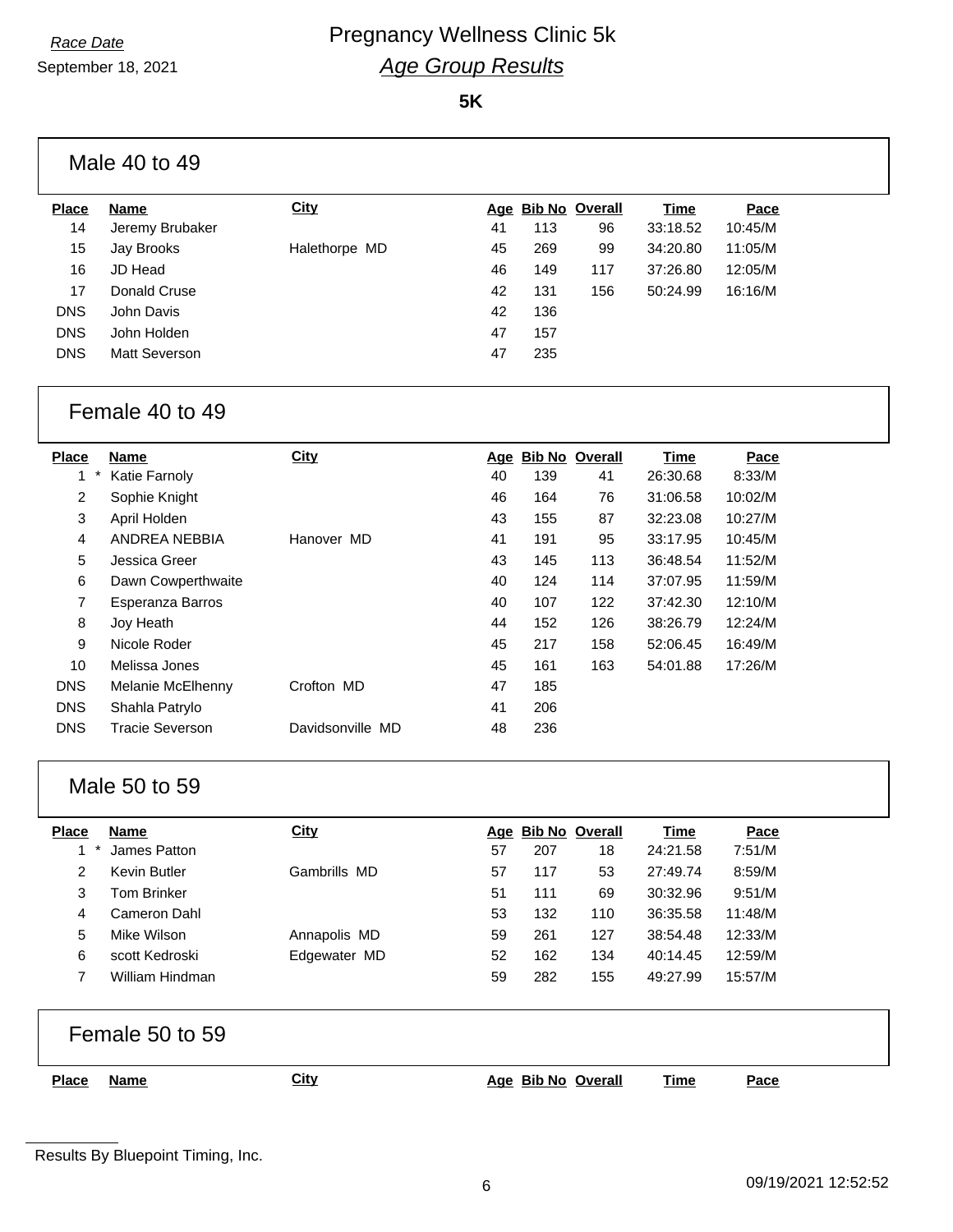September 18, 2021

**5K**

| <b>Place</b>     | <b>Name</b>          | <b>City</b>   |    |     | Age Bib No Overall | Time     | Pace    |
|------------------|----------------------|---------------|----|-----|--------------------|----------|---------|
| 14               | Jeremy Brubaker      |               | 41 | 113 | 96                 | 33:18.52 | 10:45/M |
| 15 <sub>15</sub> | Jay Brooks           | Halethorpe MD | 45 | 269 | 99                 | 34:20.80 | 11:05/M |
| 16               | JD Head              |               | 46 | 149 | 117                | 37:26.80 | 12:05/M |
| 17               | Donald Cruse         |               | 42 | 131 | 156                | 50:24.99 | 16:16/M |
| <b>DNS</b>       | John Davis           |               | 42 | 136 |                    |          |         |
| <b>DNS</b>       | John Holden          |               | 47 | 157 |                    |          |         |
| <b>DNS</b>       | <b>Matt Severson</b> |               | 47 | 235 |                    |          |         |

#### Female 40 to 49

| <b>Place</b>   | Name                   | City             | Age | <b>Bib No Overall</b> |     | Time     | Pace    |
|----------------|------------------------|------------------|-----|-----------------------|-----|----------|---------|
| 1              | Katie Farnoly          |                  | 40  | 139                   | 41  | 26:30.68 | 8:33/M  |
| $\overline{2}$ | Sophie Knight          |                  | 46  | 164                   | 76  | 31:06.58 | 10:02/M |
| 3              | April Holden           |                  | 43  | 155                   | 87  | 32:23.08 | 10:27/M |
| 4              | ANDREA NEBBIA          | Hanover MD       | 41  | 191                   | 95  | 33:17.95 | 10:45/M |
| 5              | Jessica Greer          |                  | 43  | 145                   | 113 | 36:48.54 | 11:52/M |
| 6              | Dawn Cowperthwaite     |                  | 40  | 124                   | 114 | 37:07.95 | 11:59/M |
| 7              | Esperanza Barros       |                  | 40  | 107                   | 122 | 37:42.30 | 12:10/M |
| 8              | Joy Heath              |                  | 44  | 152                   | 126 | 38:26.79 | 12:24/M |
| 9              | Nicole Roder           |                  | 45  | 217                   | 158 | 52:06.45 | 16:49/M |
| 10             | Melissa Jones          |                  | 45  | 161                   | 163 | 54:01.88 | 17:26/M |
| <b>DNS</b>     | Melanie McElhenny      | Crofton MD       | 47  | 185                   |     |          |         |
| <b>DNS</b>     | Shahla Patrylo         |                  | 41  | 206                   |     |          |         |
| <b>DNS</b>     | <b>Tracie Severson</b> | Davidsonville MD | 48  | 236                   |     |          |         |

### Male 50 to 59

| <b>Place</b> | <b>Name</b>     | City         |    |     | Age Bib No Overall | Time     | Pace    |
|--------------|-----------------|--------------|----|-----|--------------------|----------|---------|
|              | James Patton    |              | 57 | 207 | 18                 | 24:21.58 | 7:51/M  |
|              | Kevin Butler    | Gambrills MD | 57 | 117 | 53                 | 27:49.74 | 8:59/M  |
| 3            | Tom Brinker     |              | 51 | 111 | 69                 | 30:32.96 | 9:51/M  |
| 4            | Cameron Dahl    |              | 53 | 132 | 110                | 36:35.58 | 11:48/M |
| 5            | Mike Wilson     | Annapolis MD | 59 | 261 | 127                | 38:54.48 | 12:33/M |
| 6            | scott Kedroski  | Edgewater MD | 52 | 162 | 134                | 40:14.45 | 12:59/M |
|              | William Hindman |              | 59 | 282 | 155                | 49:27.99 | 15:57/M |

|              | Female 50 to 59 |             |                    |      |      |
|--------------|-----------------|-------------|--------------------|------|------|
| <b>Place</b> | Name            | <b>City</b> | Age Bib No Overall | Time | Pace |